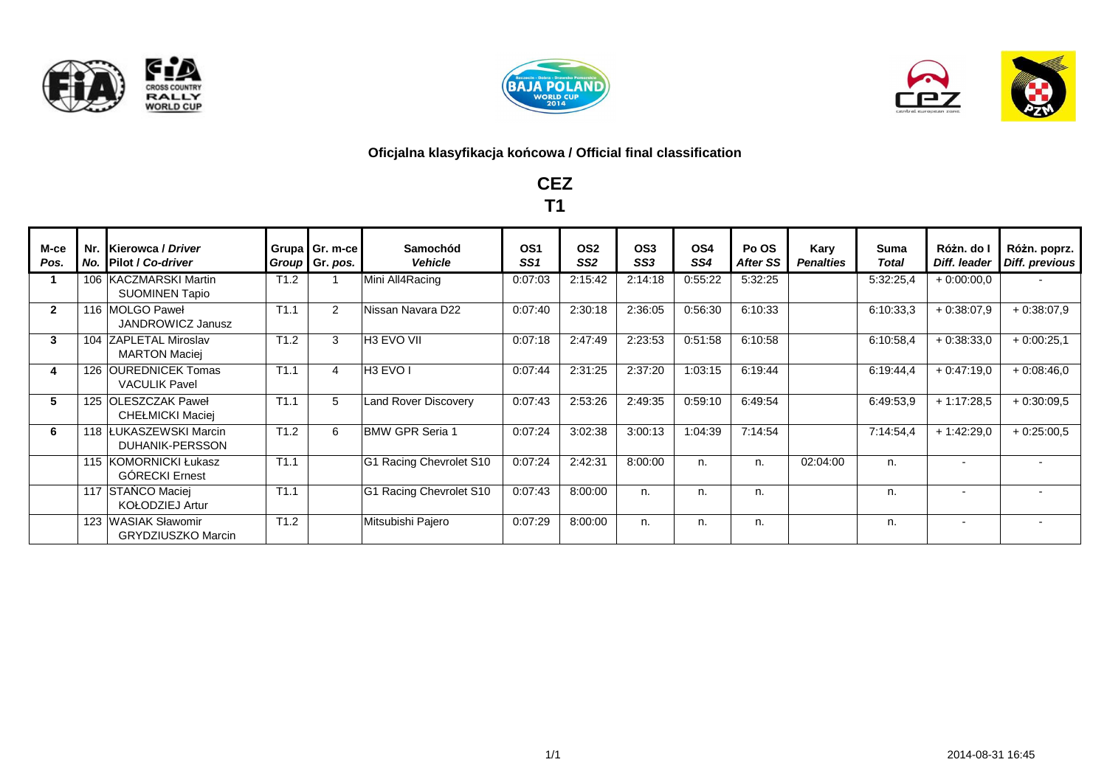





## **Oficjalna klasyfikacja końcowa / Official final classification**

**CEZT1**

| M-ce<br>Pos. | Nr. | <b>Kierowca / Driver</b><br>No. Pilot / Co-driver |      | Grupa Gr. m-ce<br>Group Gr. pos. | <b>Samochód</b><br><b>Vehicle</b> | OS <sub>1</sub><br>SS <sub>1</sub> | OS <sub>2</sub><br>SS <sub>2</sub> | OS <sub>3</sub><br>SS3 | OS4<br>SS4 | Po OS<br><b>After SS</b> | Kary<br><b>Penalties</b> | <b>Suma</b><br><b>Total</b> | Różn. do I<br>Diff. leader | Różn. poprz.<br><b>Diff. previous</b> |
|--------------|-----|---------------------------------------------------|------|----------------------------------|-----------------------------------|------------------------------------|------------------------------------|------------------------|------------|--------------------------|--------------------------|-----------------------------|----------------------------|---------------------------------------|
|              |     | 106 KACZMARSKI Martin<br>SUOMINEN Tapio           | T1.2 |                                  | Mini All4Racing                   | 0:07:03                            | 2:15:42                            | 2:14:18                | 0:55:22    | 5:32:25                  |                          | 5:32:25,4                   | $+0.00:00,0$               |                                       |
| $\mathbf{2}$ |     | 116 MOLGO Paweł<br>JANDROWICZ Janusz              | T1.1 | $\overline{2}$                   | Nissan Navara D22                 | 0:07:40                            | 2:30:18                            | 2:36:05                | 0:56:30    | 6:10:33                  |                          | 6:10:33,3                   | $+0:38:07,9$               | $+0:38:07,9$                          |
| 3            |     | 104 ZAPLETAL Miroslav<br><b>MARTON Maciej</b>     | T1.2 | 3                                | H <sub>3</sub> EVO VII            | 0:07:18                            | 2:47:49                            | 2:23:53                | 0:51:58    | 6:10:58                  |                          | 6:10:58.4                   | $+0.38:33.0$               | $+0:00:25,1$                          |
|              | 126 | <b>OUREDNICEK Tomas</b><br><b>VACULIK Pavel</b>   | T1.1 | 4                                | H <sub>3</sub> EVO I              | 0:07:44                            | 2:31:25                            | 2:37:20                | 1:03:15    | 6:19:44                  |                          | 6:19:44,4                   | $+0:47:19,0$               | $+0.08:46,0$                          |
| 5            | 125 | <b>OLESZCZAK Paweł</b><br><b>CHEŁMICKI Maciej</b> | T1.1 | 5                                | <b>Land Rover Discovery</b>       | 0:07:43                            | 2:53:26                            | 2:49:35                | 0:59:10    | 6:49:54                  |                          | 6:49:53,9                   | $+1:17:28,5$               | $+0:30:09,5$                          |
| 6            |     | 118 ŁUKASZEWSKI Marcin<br>DUHANIK-PERSSON         | T1.2 | 6                                | <b>BMW GPR Seria 1</b>            | 0:07:24                            | 3:02:38                            | 3:00:13                | 1:04:39    | 7:14:54                  |                          | 7:14:54.4                   | $+1:42:29.0$               | $+0.25:00.5$                          |
|              |     | 115 KOMORNICKI Łukasz<br><b>GÓRECKI Ernest</b>    | T1.1 |                                  | G1 Racing Chevrolet S10           | 0:07:24                            | 2:42:31                            | 8:00:00                | n.         | n.                       | 02:04:00                 | n.                          |                            |                                       |
|              |     | 117 STAŃCO Maciej<br><b>KOŁODZIEJ Artur</b>       | T1.1 |                                  | G1 Racing Chevrolet S10           | 0:07:43                            | 8:00:00                            | n.                     | n.         | n.                       |                          | n.                          | $\overline{\phantom{0}}$   |                                       |
|              |     | 123 WASIAK Sławomir<br><b>GRYDZIUSZKO Marcin</b>  | T1.2 |                                  | Mitsubishi Pajero                 | 0:07:29                            | 8:00:00                            | n.                     | n.         | n.                       |                          | n.                          | $\overline{\phantom{a}}$   |                                       |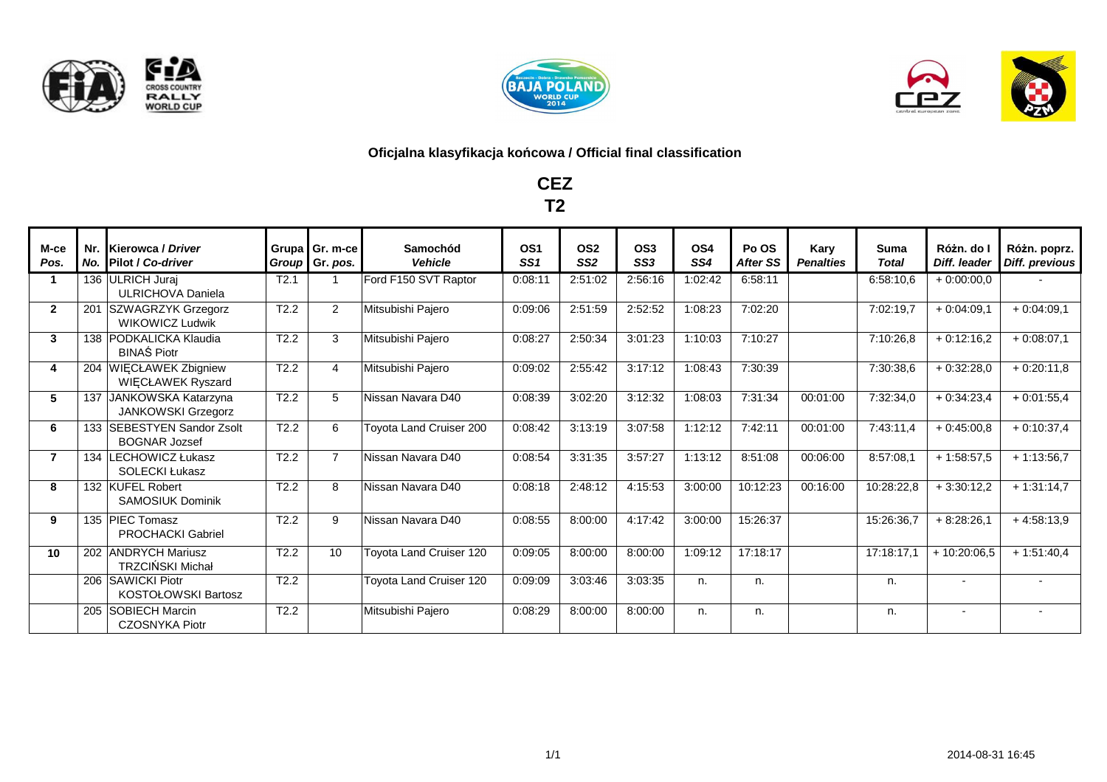





## **Oficjalna klasyfikacja końcowa / Official final classification**

**CEZT2**

| M-ce<br>Pos.    |     | Nr. Kierowca / Driver<br>No. Pilot / Co-driver        |      | Grupa Gr. m-cel<br>Group Gr. pos. | Samochód<br><b>Vehicle</b> | OS <sub>1</sub><br>SS1 | OS <sub>2</sub><br>SS <sub>2</sub> | OS <sub>3</sub><br>SS <sub>3</sub> | OS <sub>4</sub><br>SS4 | Po OS<br><b>After SS</b> | Kary<br><b>Penalties</b> | <b>Suma</b><br><b>Total</b> | Różn. do l<br>Diff. leader | Różn. poprz.<br>Diff. previous |
|-----------------|-----|-------------------------------------------------------|------|-----------------------------------|----------------------------|------------------------|------------------------------------|------------------------------------|------------------------|--------------------------|--------------------------|-----------------------------|----------------------------|--------------------------------|
|                 |     | 136 ULRICH Juraj<br><b>ULRICHOVA Daniela</b>          | T2.1 |                                   | Ford F150 SVT Raptor       | 0:08:11                | 2:51:02                            | 2:56:16                            | 1:02:42                | 6:58:11                  |                          | 6:58:10.6                   | $+0:00:00,0$               |                                |
| $\overline{2}$  |     | 201 SZWAGRZYK Grzegorz<br><b>WIKOWICZ Ludwik</b>      | T2.2 | $\overline{2}$                    | Mitsubishi Pajero          | 0:09:06                | 2:51:59                            | 2:52:52                            | 1:08:23                | 7:02:20                  |                          | 7:02:19,7                   | $+0:04:09,1$               | $+0:04:09,1$                   |
| 3               |     | 138 PODKALICKA Klaudia<br><b>BINAS Piotr</b>          | T2.2 | 3                                 | Mitsubishi Pajero          | 0:08:27                | 2:50:34                            | 3:01:23                            | 1:10:03                | 7:10:27                  |                          | 7:10:26,8                   | $+0:12:16,2$               | $+0:08:07,1$                   |
| 4               | 204 | <b>WIECŁAWEK Zbigniew</b><br><b>WIECŁAWEK Ryszard</b> | T2.2 | 4                                 | Mitsubishi Pajero          | 0:09:02                | 2:55:42                            | 3:17:12                            | 1:08:43                | 7:30:39                  |                          | 7:30:38,6                   | $+0.32:28,0$               | $+0:20:11,8$                   |
| 5               | 137 | JANKOWSKA Katarzyna<br>JANKOWSKI Grzegorz             | T2.2 | 5                                 | Nissan Navara D40          | 0:08:39                | 3:02:20                            | 3:12:32                            | 1:08:03                | 7:31:34                  | 00:01:00                 | 7:32:34,0                   | $+0:34:23,4$               | $+0:01:55,4$                   |
| 6               |     | 133 SEBESTYEN Sandor Zsolt<br><b>BOGNAR Jozsef</b>    | T2.2 | 6                                 | Toyota Land Cruiser 200    | 0:08:42                | 3:13:19                            | 3:07:58                            | 1:12:12                | 7:42:11                  | 00:01:00                 | 7:43:11,4                   | $+0:45:00.8$               | $+0:10:37,4$                   |
| 7               | 134 | LECHOWICZ Łukasz<br><b>SOLECKI Łukasz</b>             | T2.2 | 7                                 | Nissan Navara D40          | 0:08:54                | 3:31:35                            | 3:57:27                            | 1:13:12                | 8:51:08                  | 00:06:00                 | 8:57:08,1                   | $+1:58:57.5$               | $+1:13:56.7$                   |
| 8               |     | 132 KUFEL Robert<br><b>SAMOSIUK Dominik</b>           | T2.2 | 8                                 | Nissan Navara D40          | 0:08:18                | 2:48:12                            | 4:15:53                            | 3:00:00                | 10:12:23                 | 00:16:00                 | 10:28:22,8                  | $+3:30:12,2$               | $+1:31:14,7$                   |
| 9               |     | 135 PIEC Tomasz<br><b>PROCHACKI Gabriel</b>           | T2.2 | 9                                 | Nissan Navara D40          | 0:08:55                | 8:00:00                            | 4:17:42                            | 3:00:00                | 15:26:37                 |                          | 15:26:36,7                  | $+8:28:26,1$               | $+4:58:13,9$                   |
| 10 <sup>1</sup> |     | 202 ANDRYCH Mariusz<br><b>TRZCIŃSKI Michał</b>        | T2.2 | 10                                | Toyota Land Cruiser 120    | 0:09:05                | 8:00:00                            | 8:00:00                            | 1:09:12                | 17:18:17                 |                          | 17:18:17,1                  | $+10:20:06,5$              | $+1:51:40,4$                   |
|                 |     | 206 SAWICKI Piotr<br><b>KOSTOŁOWSKI Bartosz</b>       | T2.2 |                                   | Toyota Land Cruiser 120    | 0:09:09                | 3:03:46                            | 3:03:35                            | n.                     | n.                       |                          | n.                          | $\overline{\phantom{a}}$   |                                |
|                 |     | 205 SOBIECH Marcin<br><b>CZOSNYKA Piotr</b>           | T2.2 |                                   | Mitsubishi Pajero          | 0:08:29                | 8:00:00                            | 8:00:00                            | n.                     | n.                       |                          | n.                          | $\overline{\phantom{a}}$   |                                |